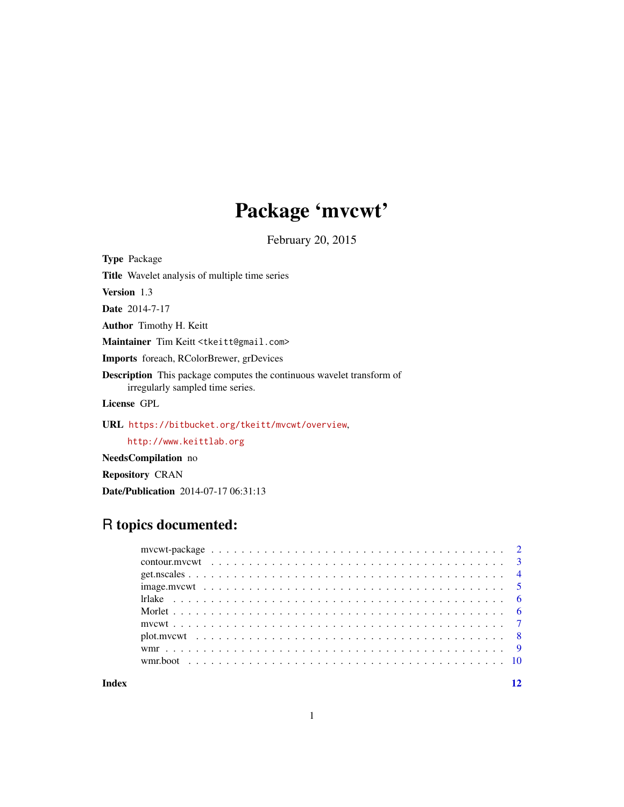## Package 'mvcwt'

February 20, 2015

<span id="page-0-0"></span>Type Package Title Wavelet analysis of multiple time series Version 1.3 Date 2014-7-17 Author Timothy H. Keitt Maintainer Tim Keitt <tkeitt@gmail.com> Imports foreach, RColorBrewer, grDevices Description This package computes the continuous wavelet transform of irregularly sampled time series. License GPL

URL <https://bitbucket.org/tkeitt/mvcwt/overview>,

<http://www.keittlab.org>

NeedsCompilation no

Repository CRAN

Date/Publication 2014-07-17 06:31:13

## R topics documented:

**Index** [12](#page-11-0)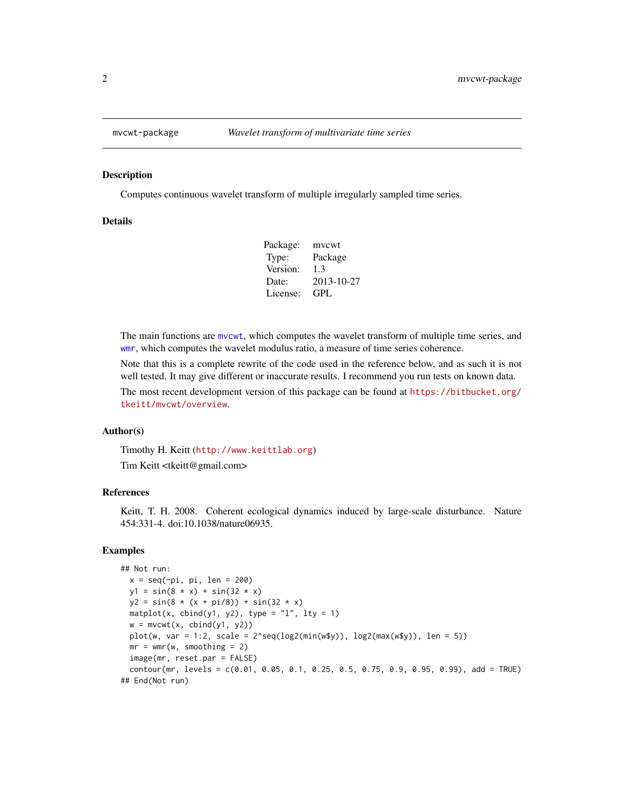<span id="page-1-0"></span>

Computes continuous wavelet transform of multiple irregularly sampled time series.

## **Details**

| Package: | mycwt      |
|----------|------------|
| Type:    | Package    |
| Version: | 1.3        |
| Date:    | 2013-10-27 |
| License: | GPL.       |

The main functions are [mvcwt](#page-6-1), which computes the wavelet transform of multiple time series, and [wmr](#page-8-1), which computes the wavelet modulus ratio, a measure of time series coherence.

Note that this is a complete rewrite of the code used in the reference below, and as such it is not well tested. It may give different or inaccurate results. I recommend you run tests on known data.

The most recent development version of this package can be found at [https://bitbucket.org/](https://bitbucket.org/tkeitt/mvcwt/overview) [tkeitt/mvcwt/overview](https://bitbucket.org/tkeitt/mvcwt/overview).

## Author(s)

Timothy H. Keitt (<http://www.keittlab.org>)

Tim Keitt <tkeitt@gmail.com>

## References

Keitt, T. H. 2008. Coherent ecological dynamics induced by large-scale disturbance. Nature 454:331-4. doi:10.1038/nature06935.

#### Examples

```
## Not run:
 x = seq(-pi, pi, len = 200)y1 = sin(8 * x) + sin(32 * x)y2 = sin(8 * (x + pi/8)) + sin(32 * x)matplot(x, cbind(y1, y2), type = "1", lty = 1)
 w = mvcwt(x, cbind(y1, y2))plot(w, var = 1:2, scale = 2^seq(log2(min(w$y)), log2(max(w$y)), len = 5))
 mr = wmr(w, smoothing = 2)image(mr, reset.par = FALSE)
 contour(mr, levels = c(0.01, 0.05, 0.1, 0.25, 0.5, 0.75, 0.9, 0.95, 0.99), add = TRUE)
## End(Not run)
```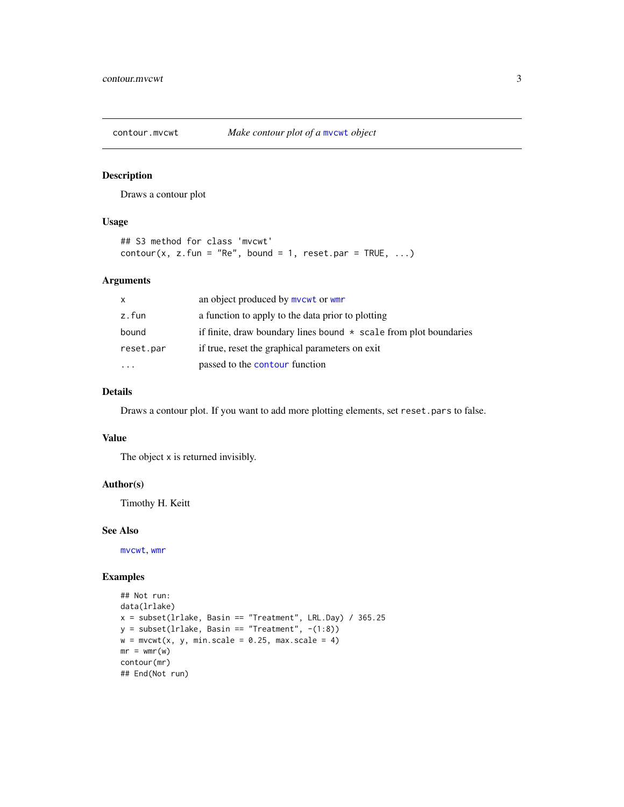<span id="page-2-1"></span><span id="page-2-0"></span>

Draws a contour plot

#### Usage

```
## S3 method for class 'mvcwt'
contour(x, z.fun = "Re", bound = 1, reset.par = TRUE, \dots)
```
## Arguments

| $\mathsf{x}$ | an object produced by mycwt or wmr                                  |
|--------------|---------------------------------------------------------------------|
| z.fun        | a function to apply to the data prior to plotting                   |
| bound        | if finite, draw boundary lines bound $*$ scale from plot boundaries |
| reset.par    | if true, reset the graphical parameters on exit                     |
| .            | passed to the contour function                                      |

## Details

Draws a contour plot. If you want to add more plotting elements, set reset.pars to false.

#### Value

The object x is returned invisibly.

#### Author(s)

Timothy H. Keitt

#### See Also

[mvcwt](#page-6-1), [wmr](#page-8-1)

## Examples

```
## Not run:
data(lrlake)
x = subset(Ir lake, Basin == "Treatment", LRL.Day) / 365.25y = subset(Irlake, Basin == "Treatment", -(1:8))w = mvcwt(x, y, min-scale = 0.25, max-scale = 4)mr = wmr(w)contour(mr)
## End(Not run)
```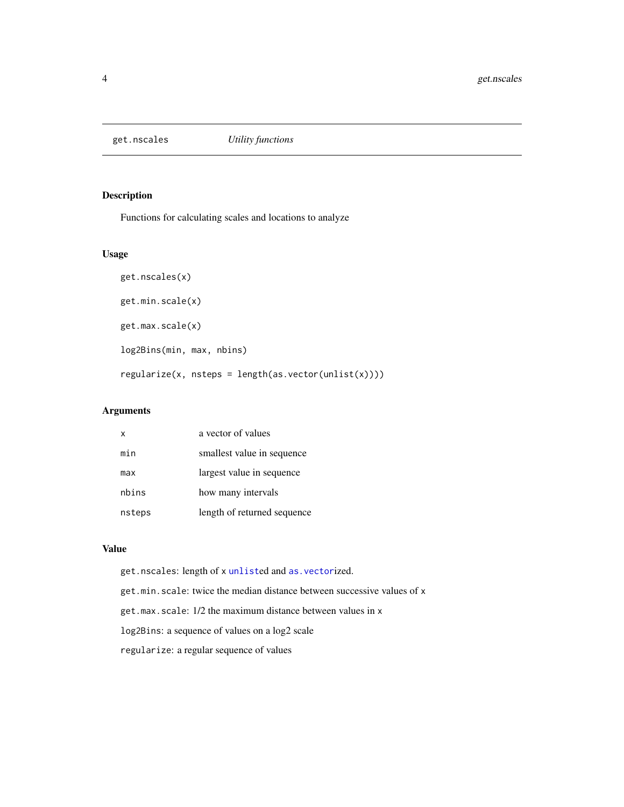<span id="page-3-0"></span>

Functions for calculating scales and locations to analyze

#### Usage

```
get.nscales(x)
get.min.scale(x)
get.max.scale(x)
log2Bins(min, max, nbins)
regularize(x, nsteps = length(as.vector(unlist(x))))
```
## Arguments

| x      | a vector of values          |
|--------|-----------------------------|
| min    | smallest value in sequence  |
| max    | largest value in sequence   |
| nbins  | how many intervals          |
| nsteps | length of returned sequence |

## Value

get.nscales: length of x [unlist](#page-0-0)ed and [as.vector](#page-0-0)ized. get.min.scale: twice the median distance between successive values of x get.max.scale: 1/2 the maximum distance between values in x log2Bins: a sequence of values on a log2 scale regularize: a regular sequence of values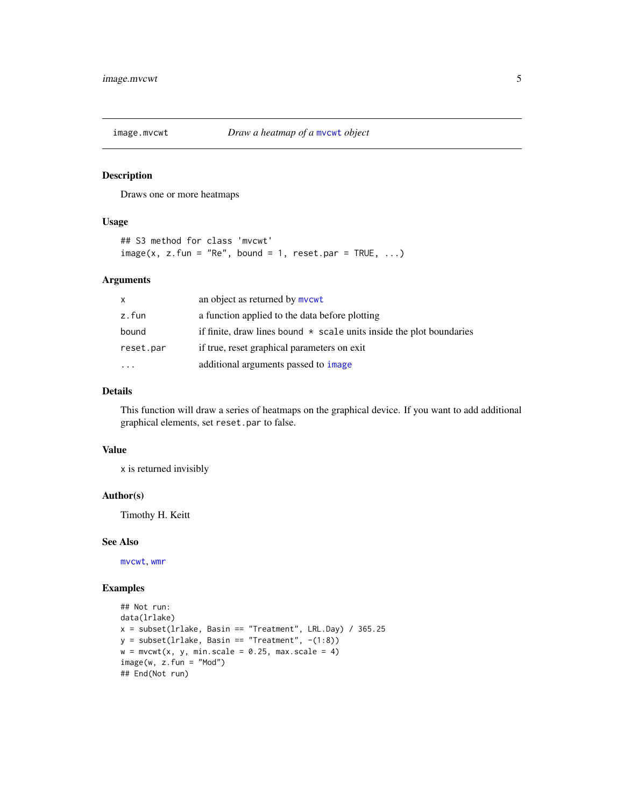<span id="page-4-1"></span><span id="page-4-0"></span>

Draws one or more heatmaps

#### Usage

```
## S3 method for class 'mvcwt'
image(x, z.fun = "Re", bound = 1, reset.par = TRUE, ...)
```
## Arguments

| $\mathsf{x}$ | an object as returned by mycwt                                             |
|--------------|----------------------------------------------------------------------------|
| z.fun        | a function applied to the data before plotting                             |
| bound        | if finite, draw lines bound $\star$ scale units inside the plot boundaries |
| reset.par    | if true, reset graphical parameters on exit                                |
|              | additional arguments passed to image                                       |

## Details

This function will draw a series of heatmaps on the graphical device. If you want to add additional graphical elements, set reset.par to false.

## Value

x is returned invisibly

#### Author(s)

Timothy H. Keitt

#### See Also

[mvcwt](#page-6-1), [wmr](#page-8-1)

## Examples

```
## Not run:
data(lrlake)
x = subset(Ir lake, Basin == "Treatment", LRL.Day) / 365.25y = subset(Ir lake, Basin == "Treatment", -(1:8))w = mvcwt(x, y, min-scale = 0.25, max-scale = 4)image(w, z.fun = "Mod")## End(Not run)
```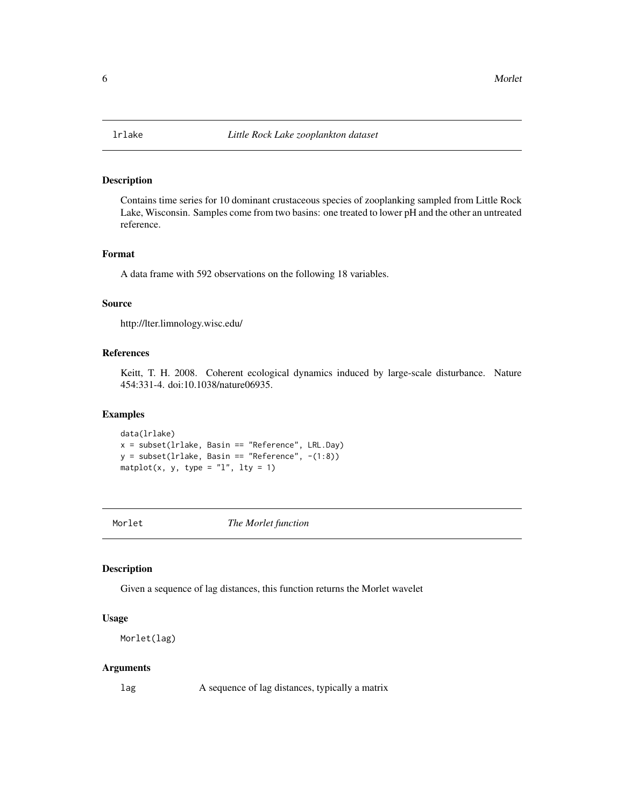<span id="page-5-0"></span>

Contains time series for 10 dominant crustaceous species of zooplanking sampled from Little Rock Lake, Wisconsin. Samples come from two basins: one treated to lower pH and the other an untreated reference.

#### Format

A data frame with 592 observations on the following 18 variables.

#### Source

http://lter.limnology.wisc.edu/

## References

Keitt, T. H. 2008. Coherent ecological dynamics induced by large-scale disturbance. Nature 454:331-4. doi:10.1038/nature06935.

## Examples

data(lrlake)  $x = subset(Ir lake, Basin == "Reference", LRL.Day)$  $y = subset(Ir lake, Basin == "Reference", -(1:8))$ matplot(x, y, type =  $"l", lty = 1)$ 

Morlet *The Morlet function*

#### Description

Given a sequence of lag distances, this function returns the Morlet wavelet

#### Usage

```
Morlet(lag)
```
#### Arguments

lag A sequence of lag distances, typically a matrix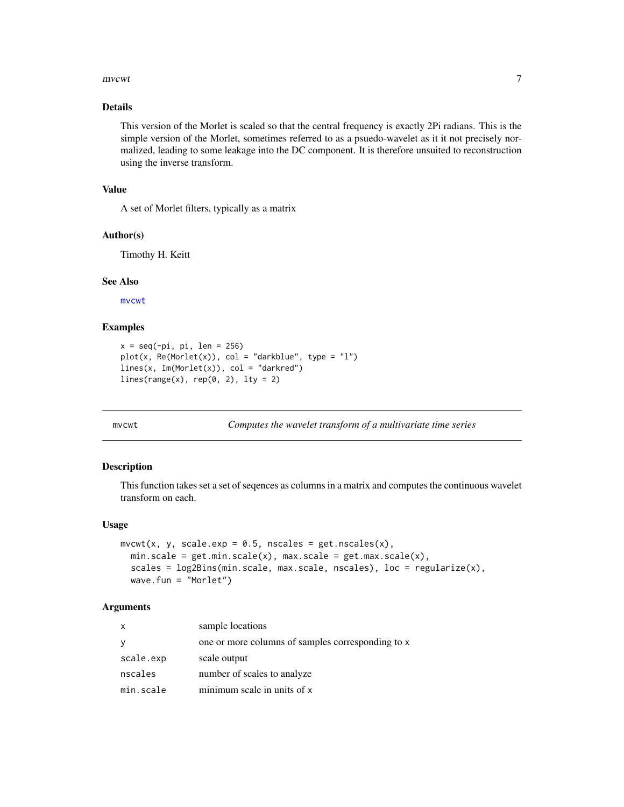#### <span id="page-6-0"></span>mvcwt 7

## Details

This version of the Morlet is scaled so that the central frequency is exactly 2Pi radians. This is the simple version of the Morlet, sometimes referred to as a psuedo-wavelet as it it not precisely normalized, leading to some leakage into the DC component. It is therefore unsuited to reconstruction using the inverse transform.

#### Value

A set of Morlet filters, typically as a matrix

#### Author(s)

Timothy H. Keitt

#### See Also

[mvcwt](#page-6-1)

#### Examples

```
x = seq(-pi, pi, len = 256)plot(x, Re(Morlet(x)), col = "darkblue", type = "l")lines(x, Im(Morlet(x)), col = "darkred")lines(range(x), rep(0, 2), lty = 2)
```
<span id="page-6-1"></span>

mvcwt *Computes the wavelet transform of a multivariate time series*

#### Description

This function takes set a set of seqences as columns in a matrix and computes the continuous wavelet transform on each.

#### Usage

```
mvcwt(x, y, scale.exp = 0.5, nscale = get.nscale(s),min.scale = get.min.scale(x), max.scale = get.max.scale(x),
  scales = log2Bins(min.scale, max.scale, nscales), loc = regularize(x),
 wave.fun = "Morlet")
```
#### Arguments

| X            | sample locations                                  |
|--------------|---------------------------------------------------|
| <sub>V</sub> | one or more columns of samples corresponding to x |
| scale.exp    | scale output                                      |
| nscales      | number of scales to analyze                       |
| min.scale    | minimum scale in units of x                       |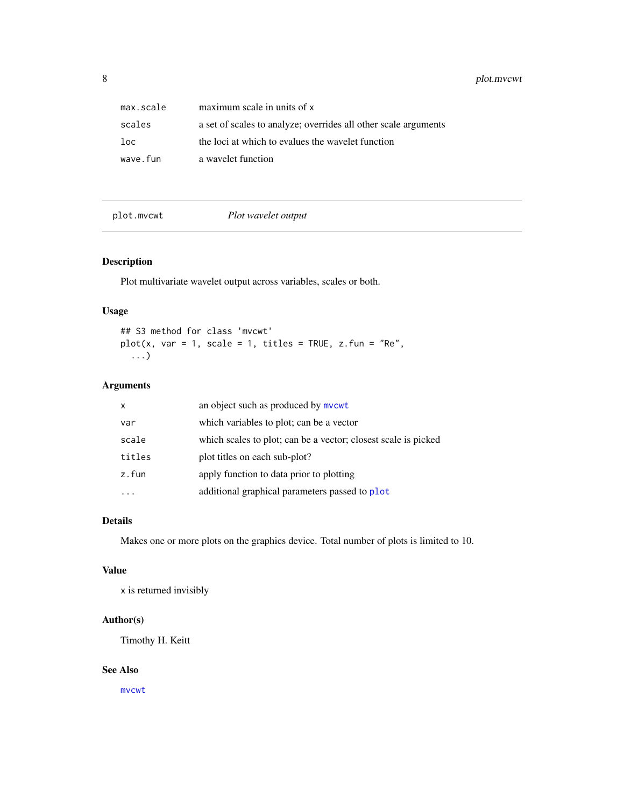<span id="page-7-0"></span>8 plot.mvcwt

| max.scale | maximum scale in units of x                                     |
|-----------|-----------------------------------------------------------------|
| scales    | a set of scales to analyze; overrides all other scale arguments |
| $1$ oc    | the loci at which to evalues the wavelet function               |
| wave.fun  | a wavelet function                                              |

plot.mvcwt *Plot wavelet output*

## Description

Plot multivariate wavelet output across variables, scales or both.

## Usage

## S3 method for class 'mvcwt'  $plot(x, var = 1, scale = 1, titles = TRUE, z.fun = "Re",$ ...)

## Arguments

| $\mathsf{x}$ | an object such as produced by mycwt                            |
|--------------|----------------------------------------------------------------|
| var          | which variables to plot; can be a vector                       |
| scale        | which scales to plot; can be a vector; closest scale is picked |
| titles       | plot titles on each sub-plot?                                  |
| z.fun        | apply function to data prior to plotting                       |
|              | additional graphical parameters passed to plot                 |

## Details

Makes one or more plots on the graphics device. Total number of plots is limited to 10.

#### Value

x is returned invisibly

#### Author(s)

Timothy H. Keitt

#### See Also

[mvcwt](#page-6-1)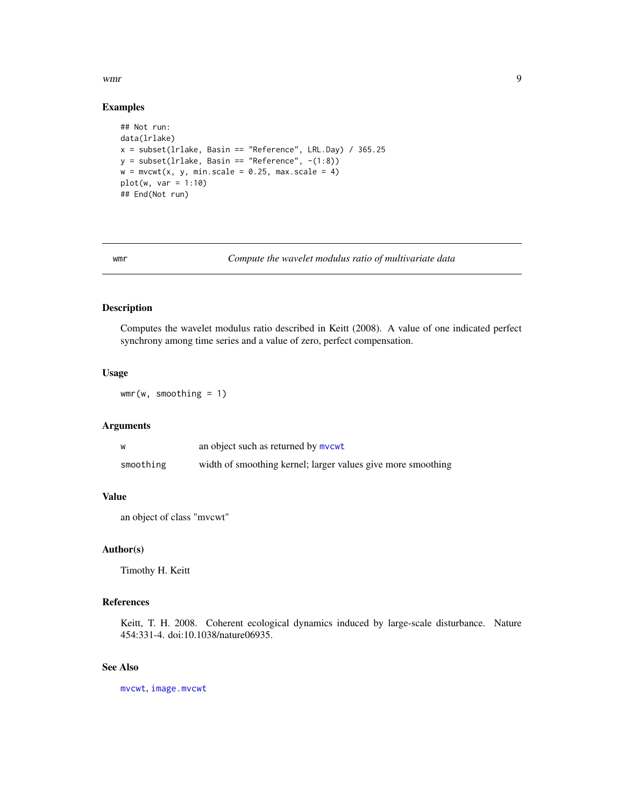<span id="page-8-0"></span>wmr 9

#### Examples

```
## Not run:
data(lrlake)
x = subset(lrlake, Basin == "Reference", LRL.Day) / 365.25
y = subset(Ir lake, Basin == "Reference", -(1:8))w = mvcwt(x, y, min-scale = 0.25, max-scale = 4)plot(w, var = 1:10)## End(Not run)
```
<span id="page-8-1"></span>wmr *Compute the wavelet modulus ratio of multivariate data*

## Description

Computes the wavelet modulus ratio described in Keitt (2008). A value of one indicated perfect synchrony among time series and a value of zero, perfect compensation.

## Usage

 $wmr(w, smoothing = 1)$ 

## Arguments

| W         | an object such as returned by mycwt                          |
|-----------|--------------------------------------------------------------|
| smoothing | width of smoothing kernel; larger values give more smoothing |

## Value

an object of class "mvcwt"

## Author(s)

Timothy H. Keitt

#### References

Keitt, T. H. 2008. Coherent ecological dynamics induced by large-scale disturbance. Nature 454:331-4. doi:10.1038/nature06935.

## See Also

[mvcwt](#page-6-1), [image.mvcwt](#page-4-1)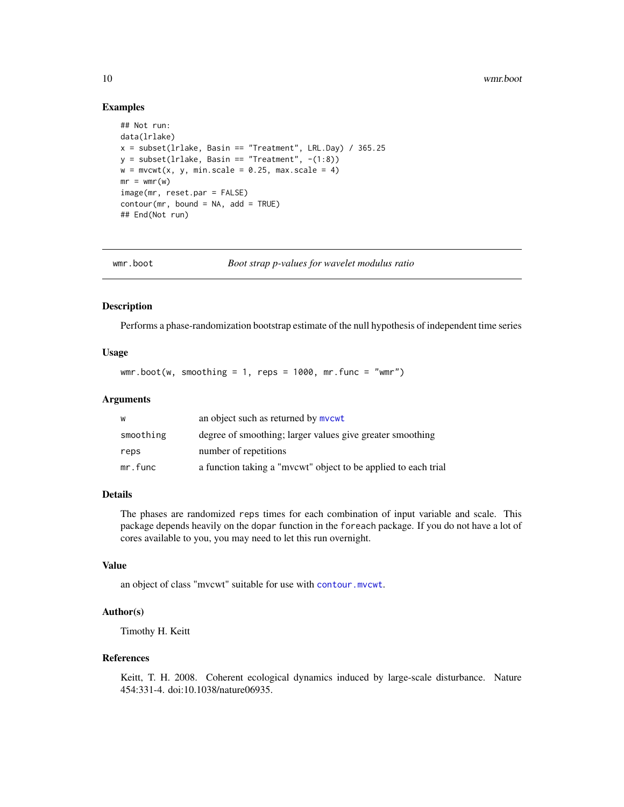#### Examples

```
## Not run:
data(lrlake)
x = subset(Ir lake, Basin == "Treatment", LRL.Day) / 365.25y = subset(Ir lake, Basin == "Treatment", -(1:8))w = mvcwt(x, y, min-scale = 0.25, max-scale = 4)mr = wmr(w)image(mr, reset.par = FALSE)
contour(mr, bound = NA, add = TRUE)## End(Not run)
```
wmr.boot *Boot strap p-values for wavelet modulus ratio*

#### Description

Performs a phase-randomization bootstrap estimate of the null hypothesis of independent time series

## Usage

 $wmr.boot(w, smoothing = 1, reps = 1000, mr.func = "wmr")$ 

#### Arguments

| w         | an object such as returned by mycwt                            |
|-----------|----------------------------------------------------------------|
| smoothing | degree of smoothing; larger values give greater smoothing      |
| reps      | number of repetitions                                          |
| mr.func   | a function taking a "mvcwt" object to be applied to each trial |

#### Details

The phases are randomized reps times for each combination of input variable and scale. This package depends heavily on the dopar function in the foreach package. If you do not have a lot of cores available to you, you may need to let this run overnight.

#### Value

an object of class "mvcwt" suitable for use with [contour.mvcwt](#page-2-1).

## Author(s)

Timothy H. Keitt

#### References

Keitt, T. H. 2008. Coherent ecological dynamics induced by large-scale disturbance. Nature 454:331-4. doi:10.1038/nature06935.

<span id="page-9-0"></span>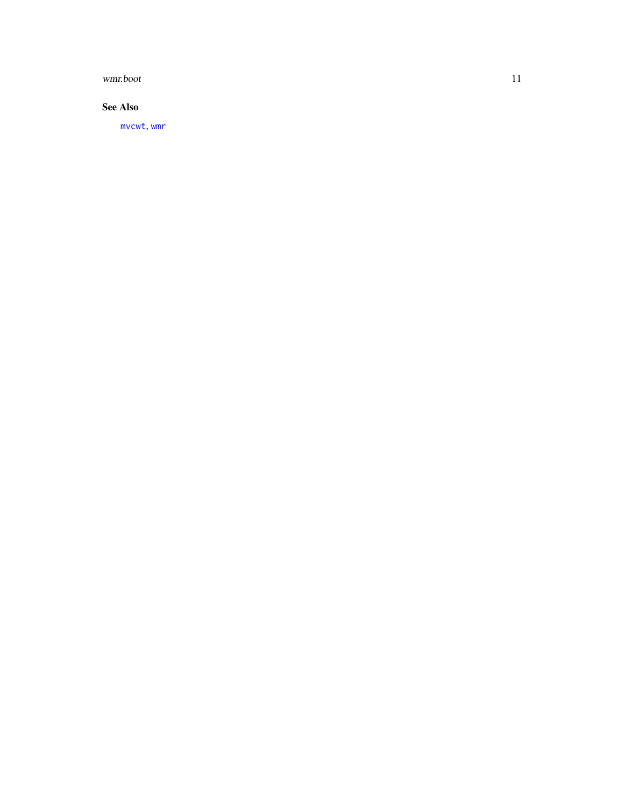<span id="page-10-0"></span>wmr.boot 11

## See Also

[mvcwt](#page-6-1) , [wmr](#page-8-1)